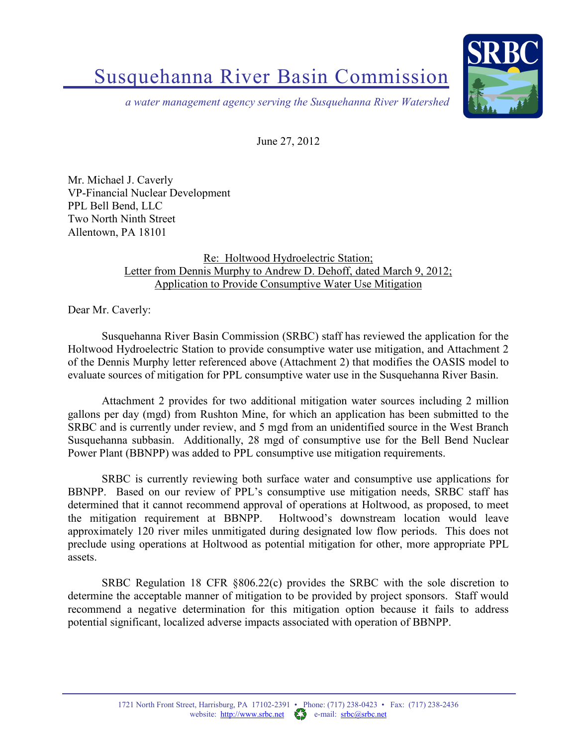## Susquehanna River Basin Commission



*a water management agency serving the Susquehanna River Watershed*

June 27, 2012

Mr. Michael J. Caverly VP-Financial Nuclear Development PPL Bell Bend, LLC Two North Ninth Street Allentown, PA 18101

## Re: Holtwood Hydroelectric Station; Letter from Dennis Murphy to Andrew D. Dehoff, dated March 9, 2012; Application to Provide Consumptive Water Use Mitigation

Dear Mr. Caverly:

Susquehanna River Basin Commission (SRBC) staff has reviewed the application for the Holtwood Hydroelectric Station to provide consumptive water use mitigation, and Attachment 2 of the Dennis Murphy letter referenced above (Attachment 2) that modifies the OASIS model to evaluate sources of mitigation for PPL consumptive water use in the Susquehanna River Basin.

Attachment 2 provides for two additional mitigation water sources including 2 million gallons per day (mgd) from Rushton Mine, for which an application has been submitted to the SRBC and is currently under review, and 5 mgd from an unidentified source in the West Branch Susquehanna subbasin. Additionally, 28 mgd of consumptive use for the Bell Bend Nuclear Power Plant (BBNPP) was added to PPL consumptive use mitigation requirements.

SRBC is currently reviewing both surface water and consumptive use applications for BBNPP. Based on our review of PPL's consumptive use mitigation needs, SRBC staff has determined that it cannot recommend approval of operations at Holtwood, as proposed, to meet the mitigation requirement at BBNPP. Holtwood's downstream location would leave approximately 120 river miles unmitigated during designated low flow periods. This does not preclude using operations at Holtwood as potential mitigation for other, more appropriate PPL assets.

SRBC Regulation 18 CFR §806.22(c) provides the SRBC with the sole discretion to determine the acceptable manner of mitigation to be provided by project sponsors. Staff would recommend a negative determination for this mitigation option because it fails to address potential significant, localized adverse impacts associated with operation of BBNPP.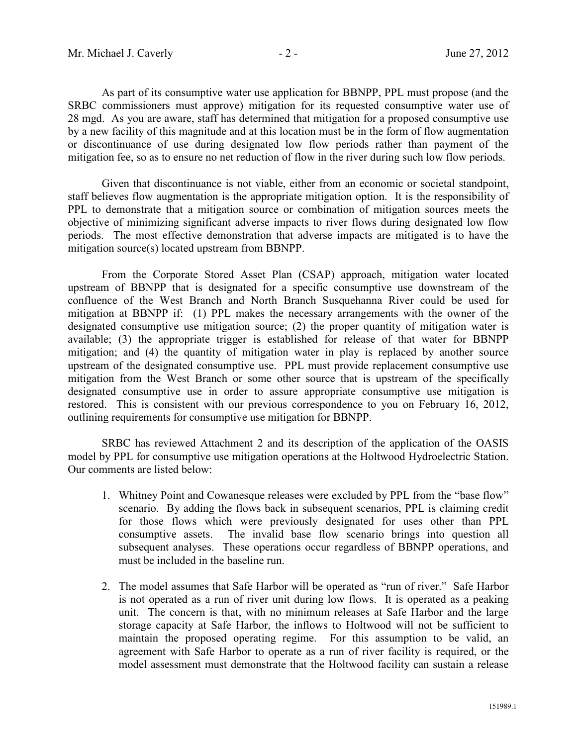As part of its consumptive water use application for BBNPP, PPL must propose (and the SRBC commissioners must approve) mitigation for its requested consumptive water use of 28 mgd. As you are aware, staff has determined that mitigation for a proposed consumptive use by a new facility of this magnitude and at this location must be in the form of flow augmentation or discontinuance of use during designated low flow periods rather than payment of the mitigation fee, so as to ensure no net reduction of flow in the river during such low flow periods.

Given that discontinuance is not viable, either from an economic or societal standpoint, staff believes flow augmentation is the appropriate mitigation option. It is the responsibility of PPL to demonstrate that a mitigation source or combination of mitigation sources meets the objective of minimizing significant adverse impacts to river flows during designated low flow periods. The most effective demonstration that adverse impacts are mitigated is to have the mitigation source(s) located upstream from BBNPP.

From the Corporate Stored Asset Plan (CSAP) approach, mitigation water located upstream of BBNPP that is designated for a specific consumptive use downstream of the confluence of the West Branch and North Branch Susquehanna River could be used for mitigation at BBNPP if: (1) PPL makes the necessary arrangements with the owner of the designated consumptive use mitigation source; (2) the proper quantity of mitigation water is available; (3) the appropriate trigger is established for release of that water for BBNPP mitigation; and (4) the quantity of mitigation water in play is replaced by another source upstream of the designated consumptive use. PPL must provide replacement consumptive use mitigation from the West Branch or some other source that is upstream of the specifically designated consumptive use in order to assure appropriate consumptive use mitigation is restored. This is consistent with our previous correspondence to you on February 16, 2012, outlining requirements for consumptive use mitigation for BBNPP.

SRBC has reviewed Attachment 2 and its description of the application of the OASIS model by PPL for consumptive use mitigation operations at the Holtwood Hydroelectric Station. Our comments are listed below:

- 1. Whitney Point and Cowanesque releases were excluded by PPL from the "base flow" scenario. By adding the flows back in subsequent scenarios, PPL is claiming credit for those flows which were previously designated for uses other than PPL consumptive assets. The invalid base flow scenario brings into question all subsequent analyses. These operations occur regardless of BBNPP operations, and must be included in the baseline run.
- 2. The model assumes that Safe Harbor will be operated as "run of river." Safe Harbor is not operated as a run of river unit during low flows. It is operated as a peaking unit. The concern is that, with no minimum releases at Safe Harbor and the large storage capacity at Safe Harbor, the inflows to Holtwood will not be sufficient to maintain the proposed operating regime. For this assumption to be valid, an agreement with Safe Harbor to operate as a run of river facility is required, or the model assessment must demonstrate that the Holtwood facility can sustain a release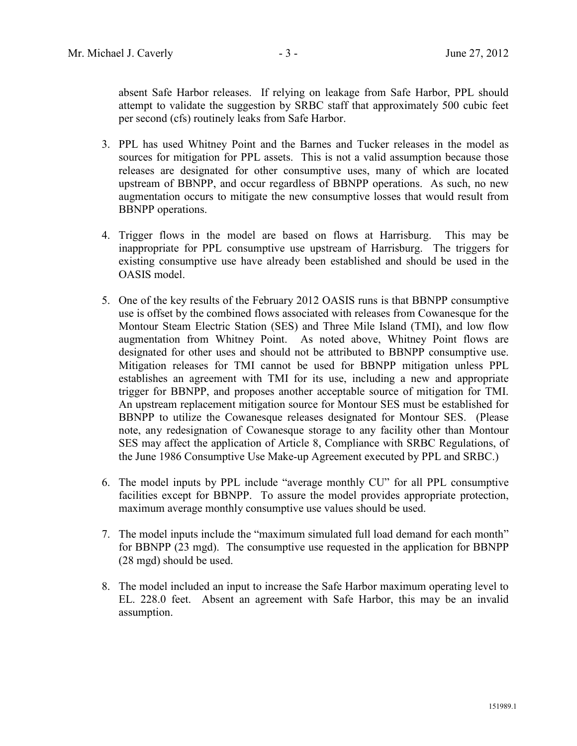absent Safe Harbor releases. If relying on leakage from Safe Harbor, PPL should attempt to validate the suggestion by SRBC staff that approximately 500 cubic feet per second (cfs) routinely leaks from Safe Harbor.

- 3. PPL has used Whitney Point and the Barnes and Tucker releases in the model as sources for mitigation for PPL assets. This is not a valid assumption because those releases are designated for other consumptive uses, many of which are located upstream of BBNPP, and occur regardless of BBNPP operations. As such, no new augmentation occurs to mitigate the new consumptive losses that would result from BBNPP operations.
- 4. Trigger flows in the model are based on flows at Harrisburg. This may be inappropriate for PPL consumptive use upstream of Harrisburg. The triggers for existing consumptive use have already been established and should be used in the OASIS model.
- 5. One of the key results of the February 2012 OASIS runs is that BBNPP consumptive use is offset by the combined flows associated with releases from Cowanesque for the Montour Steam Electric Station (SES) and Three Mile Island (TMI), and low flow augmentation from Whitney Point. As noted above, Whitney Point flows are designated for other uses and should not be attributed to BBNPP consumptive use. Mitigation releases for TMI cannot be used for BBNPP mitigation unless PPL establishes an agreement with TMI for its use, including a new and appropriate trigger for BBNPP, and proposes another acceptable source of mitigation for TMI. An upstream replacement mitigation source for Montour SES must be established for BBNPP to utilize the Cowanesque releases designated for Montour SES. (Please note, any redesignation of Cowanesque storage to any facility other than Montour SES may affect the application of Article 8, Compliance with SRBC Regulations, of the June 1986 Consumptive Use Make-up Agreement executed by PPL and SRBC.)
- 6. The model inputs by PPL include "average monthly CU" for all PPL consumptive facilities except for BBNPP. To assure the model provides appropriate protection, maximum average monthly consumptive use values should be used.
- 7. The model inputs include the "maximum simulated full load demand for each month" for BBNPP (23 mgd). The consumptive use requested in the application for BBNPP (28 mgd) should be used.
- 8. The model included an input to increase the Safe Harbor maximum operating level to EL. 228.0 feet. Absent an agreement with Safe Harbor, this may be an invalid assumption.